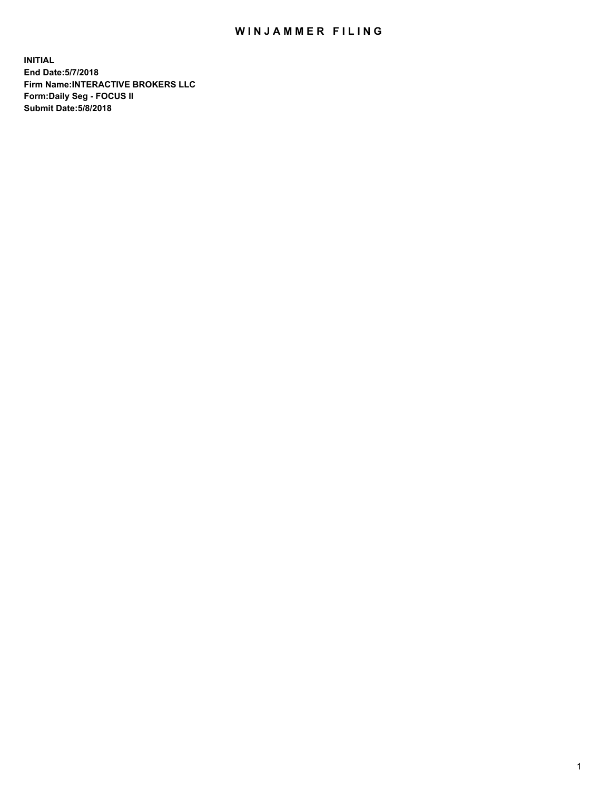## WIN JAMMER FILING

**INITIAL End Date:5/7/2018 Firm Name:INTERACTIVE BROKERS LLC Form:Daily Seg - FOCUS II Submit Date:5/8/2018**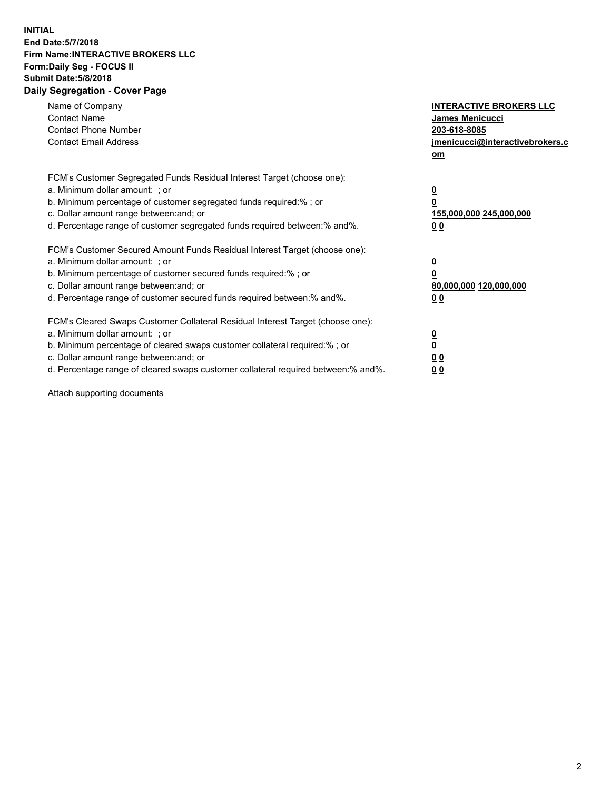## **INITIAL End Date:5/7/2018 Firm Name:INTERACTIVE BROKERS LLC Form:Daily Seg - FOCUS II Submit Date:5/8/2018 Daily Segregation - Cover Page**

| Name of Company<br><b>Contact Name</b><br><b>Contact Phone Number</b><br><b>Contact Email Address</b>                                                                                                                                                                                                                          | <b>INTERACTIVE BROKERS LLC</b><br>James Menicucci<br>203-618-8085<br>jmenicucci@interactivebrokers.c<br>om |
|--------------------------------------------------------------------------------------------------------------------------------------------------------------------------------------------------------------------------------------------------------------------------------------------------------------------------------|------------------------------------------------------------------------------------------------------------|
| FCM's Customer Segregated Funds Residual Interest Target (choose one):<br>a. Minimum dollar amount: ; or<br>b. Minimum percentage of customer segregated funds required:%; or<br>c. Dollar amount range between: and; or<br>d. Percentage range of customer segregated funds required between:% and%.                          | $\overline{\mathbf{0}}$<br>$\overline{\mathbf{0}}$<br>155,000,000 245,000,000<br>00                        |
| FCM's Customer Secured Amount Funds Residual Interest Target (choose one):<br>a. Minimum dollar amount: ; or<br>b. Minimum percentage of customer secured funds required:%; or<br>c. Dollar amount range between: and; or<br>d. Percentage range of customer secured funds required between: % and %.                          | $\overline{\mathbf{0}}$<br>$\mathbf 0$<br>80,000,000 120,000,000<br>00                                     |
| FCM's Cleared Swaps Customer Collateral Residual Interest Target (choose one):<br>a. Minimum dollar amount: ; or<br>b. Minimum percentage of cleared swaps customer collateral required:% ; or<br>c. Dollar amount range between: and; or<br>d. Percentage range of cleared swaps customer collateral required between:% and%. | $\overline{\mathbf{0}}$<br>$\underline{\mathbf{0}}$<br>0 <sub>0</sub><br>0 <sub>0</sub>                    |

Attach supporting documents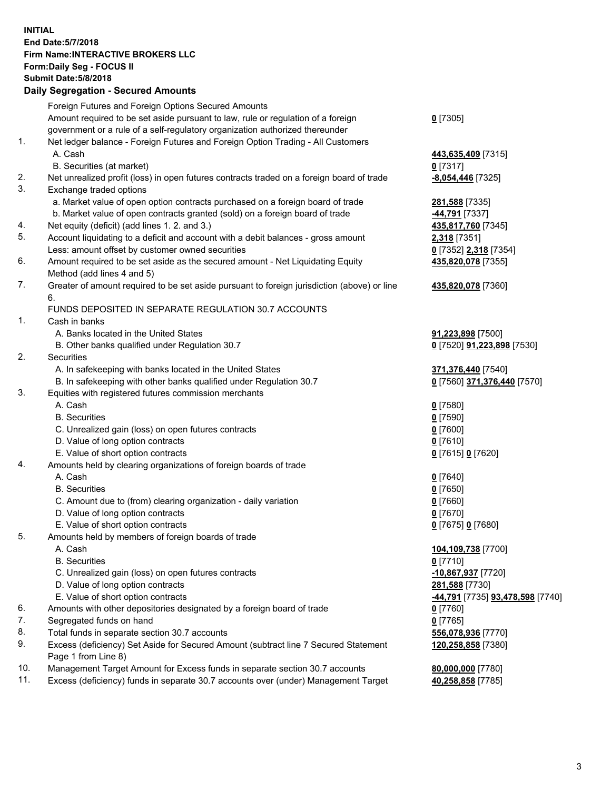## **INITIAL End Date:5/7/2018 Firm Name:INTERACTIVE BROKERS LLC Form:Daily Seg - FOCUS II Submit Date:5/8/2018 Daily Segregation - Secured Amounts**

|     | Foreign Futures and Foreign Options Secured Amounts                                         |                                                |
|-----|---------------------------------------------------------------------------------------------|------------------------------------------------|
|     | Amount required to be set aside pursuant to law, rule or regulation of a foreign            | $0$ [7305]                                     |
|     | government or a rule of a self-regulatory organization authorized thereunder                |                                                |
| 1.  | Net ledger balance - Foreign Futures and Foreign Option Trading - All Customers             |                                                |
|     | A. Cash                                                                                     | 443,635,409 [7315]                             |
|     | B. Securities (at market)                                                                   | 0 [7317]                                       |
| 2.  | Net unrealized profit (loss) in open futures contracts traded on a foreign board of trade   | $-8,054,446$ [7325]                            |
| 3.  | Exchange traded options                                                                     |                                                |
|     | a. Market value of open option contracts purchased on a foreign board of trade              | 281,588 [7335]                                 |
|     | b. Market value of open contracts granted (sold) on a foreign board of trade                | 44,791 [7337]                                  |
| 4.  | Net equity (deficit) (add lines 1.2. and 3.)                                                | 435,817,760 [7345]                             |
| 5.  | Account liquidating to a deficit and account with a debit balances - gross amount           | <b>2,318</b> [7351]                            |
|     | Less: amount offset by customer owned securities                                            | 0 [7352] 2,318 [7354]                          |
| 6.  | Amount required to be set aside as the secured amount - Net Liquidating Equity              | 435,820,078 [7355]                             |
|     | Method (add lines 4 and 5)                                                                  |                                                |
| 7.  | Greater of amount required to be set aside pursuant to foreign jurisdiction (above) or line | 435,820,078 [7360]                             |
|     | 6.                                                                                          |                                                |
|     | FUNDS DEPOSITED IN SEPARATE REGULATION 30.7 ACCOUNTS                                        |                                                |
| 1.  | Cash in banks                                                                               |                                                |
|     | A. Banks located in the United States                                                       | 91,223,898 [7500]                              |
|     | B. Other banks qualified under Regulation 30.7                                              | 0 [7520] 91,223,898 [7530]                     |
| 2.  | Securities                                                                                  |                                                |
|     | A. In safekeeping with banks located in the United States                                   | 371,376,440 [7540]                             |
|     | B. In safekeeping with other banks qualified under Regulation 30.7                          | 0 [7560] 371,376,440 [7570]                    |
| 3.  | Equities with registered futures commission merchants                                       |                                                |
|     | A. Cash                                                                                     | $0$ [7580]                                     |
|     | <b>B.</b> Securities                                                                        | $0$ [7590]                                     |
|     | C. Unrealized gain (loss) on open futures contracts                                         | $0$ [7600]                                     |
|     | D. Value of long option contracts                                                           | $0$ [7610]                                     |
|     | E. Value of short option contracts                                                          | 0 [7615] 0 [7620]                              |
| 4.  | Amounts held by clearing organizations of foreign boards of trade                           |                                                |
|     | A. Cash                                                                                     | $0$ [7640]                                     |
|     | <b>B.</b> Securities                                                                        | $0$ [7650]                                     |
|     | C. Amount due to (from) clearing organization - daily variation                             | $0$ [7660]                                     |
|     | D. Value of long option contracts                                                           | $0$ [7670]                                     |
|     | E. Value of short option contracts                                                          | 0 [7675] 0 [7680]                              |
| 5.  | Amounts held by members of foreign boards of trade                                          |                                                |
|     | A. Cash                                                                                     | 104,109,738 [7700]                             |
|     | <b>B.</b> Securities                                                                        | $0$ [7710]                                     |
|     |                                                                                             |                                                |
|     | C. Unrealized gain (loss) on open futures contracts                                         | 10,867,937 [7720]                              |
|     | D. Value of long option contracts                                                           | 281,588 [7730]                                 |
|     | E. Value of short option contracts                                                          | <u>-44,791</u> [7735] <u>93,478,598</u> [7740] |
| 6.  | Amounts with other depositories designated by a foreign board of trade                      | 0 [7760]                                       |
| 7.  | Segregated funds on hand                                                                    | $0$ [7765]                                     |
| 8.  | Total funds in separate section 30.7 accounts                                               | 556,078,936 [7770]                             |
| 9.  | Excess (deficiency) Set Aside for Secured Amount (subtract line 7 Secured Statement         | 120,258,858 [7380]                             |
|     | Page 1 from Line 8)                                                                         |                                                |
| 10. | Management Target Amount for Excess funds in separate section 30.7 accounts                 | 80,000,000 [7780]                              |
| 11. | Excess (deficiency) funds in separate 30.7 accounts over (under) Management Target          | 40,258,858 [7785]                              |
|     |                                                                                             |                                                |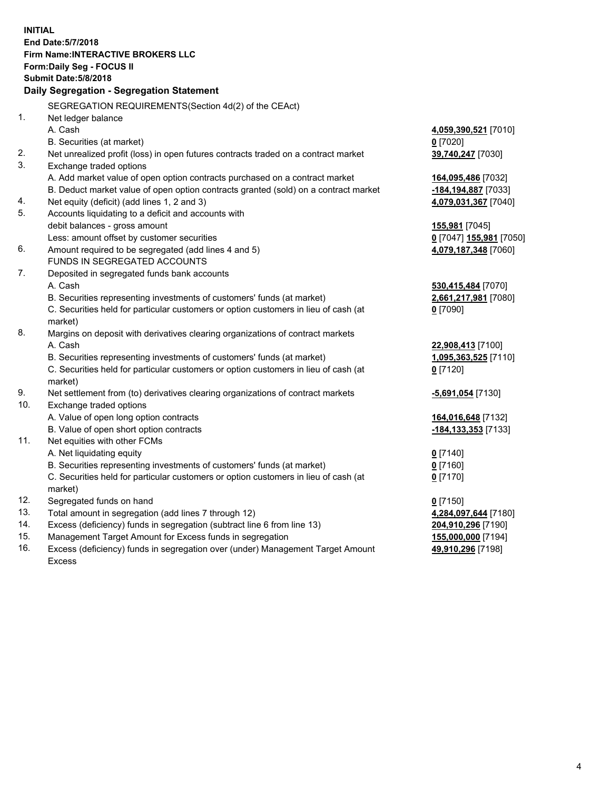**INITIAL End Date:5/7/2018 Firm Name:INTERACTIVE BROKERS LLC Form:Daily Seg - FOCUS II Submit Date:5/8/2018 Daily Segregation - Segregation Statement** SEGREGATION REQUIREMENTS(Section 4d(2) of the CEAct) 1. Net ledger balance A. Cash **4,059,390,521** [7010] B. Securities (at market) **0** [7020] 2. Net unrealized profit (loss) in open futures contracts traded on a contract market **39,740,247** [7030] 3. Exchange traded options A. Add market value of open option contracts purchased on a contract market **164,095,486** [7032] B. Deduct market value of open option contracts granted (sold) on a contract market **-184,194,887** [7033] 4. Net equity (deficit) (add lines 1, 2 and 3) **4,079,031,367** [7040] 5. Accounts liquidating to a deficit and accounts with debit balances - gross amount **155,981** [7045] Less: amount offset by customer securities **0** [7047] **155,981** [7050] 6. Amount required to be segregated (add lines 4 and 5) **4,079,187,348** [7060] FUNDS IN SEGREGATED ACCOUNTS 7. Deposited in segregated funds bank accounts A. Cash **530,415,484** [7070] B. Securities representing investments of customers' funds (at market) **2,661,217,981** [7080] C. Securities held for particular customers or option customers in lieu of cash (at market) **0** [7090] 8. Margins on deposit with derivatives clearing organizations of contract markets A. Cash **22,908,413** [7100] B. Securities representing investments of customers' funds (at market) **1,095,363,525** [7110] C. Securities held for particular customers or option customers in lieu of cash (at market) **0** [7120] 9. Net settlement from (to) derivatives clearing organizations of contract markets **-5,691,054** [7130] 10. Exchange traded options A. Value of open long option contracts **164,016,648** [7132] B. Value of open short option contracts **-184,133,353** [7133] 11. Net equities with other FCMs A. Net liquidating equity **0** [7140] B. Securities representing investments of customers' funds (at market) **0** [7160] C. Securities held for particular customers or option customers in lieu of cash (at market) **0** [7170] 12. Segregated funds on hand **0** [7150] 13. Total amount in segregation (add lines 7 through 12) **4,284,097,644** [7180] 14. Excess (deficiency) funds in segregation (subtract line 6 from line 13) **204,910,296** [7190] 15. Management Target Amount for Excess funds in segregation **155,000,000** [7194] **49,910,296** [7198]

16. Excess (deficiency) funds in segregation over (under) Management Target Amount Excess